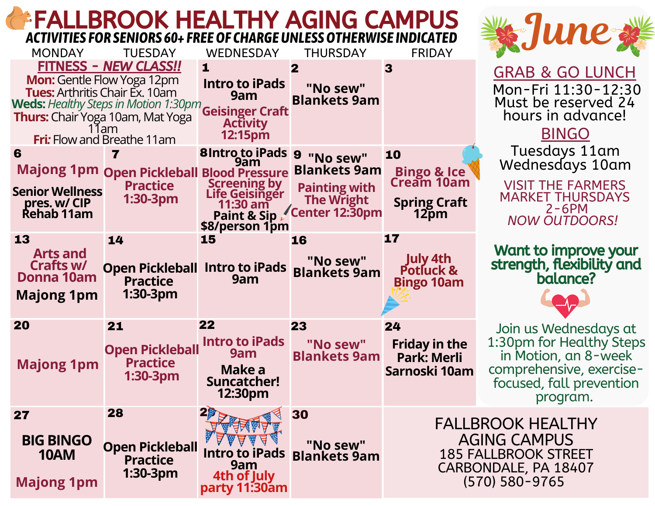## FALLBROOK HEALTHY AGING CAMPUS *ACTIVITIES FOR SENIORS 60+ FREEOF CHARGEUNLESSOTHERWISE INDICATED*

| <b>MONDAY</b>                                                                                                                 | <b>TUESDAY</b>                                                                                               | <b>WEDNESDAY</b>                                                                              | <b>THURSDAY</b>                                                                                            | <b>FRIDAY</b>                                                                                                                | THE U                                                                                                            |
|-------------------------------------------------------------------------------------------------------------------------------|--------------------------------------------------------------------------------------------------------------|-----------------------------------------------------------------------------------------------|------------------------------------------------------------------------------------------------------------|------------------------------------------------------------------------------------------------------------------------------|------------------------------------------------------------------------------------------------------------------|
| <b>Mon:</b> Gentle Flow Yoga 12pm<br><b>Tues:</b> Arthritis Chair Ex. 10am<br><b>Thurs:</b> Chair Yoga 10am, Mat Yoga<br>11am | FITNESS - NEW CLASS!!<br><b>Weds:</b> Healthy Steps in Motion 1:30pm<br><b>Fri:</b> Flow and Breathe 11am    | 1<br><b>Intro to iPads</b><br>9am<br><b>Geisinger Craft</b><br><b>Activity</b><br>12:15pm     | $\mathbf{2}$<br>"No sew"<br><b>Blankets 9am</b>                                                            | 3                                                                                                                            | <u>GRAB &amp; GO Ll</u><br>Mon-Fri 11:30-<br>Must be reserve<br>hours in adva<br><b>BINGO</b>                    |
| 6<br><b>Senior Wellness</b><br>pres. w/ CIP<br><b>Rehab 11am</b>                                                              | $\overline{\mathbf{z}}$<br><b>Majong 1pm Open Pickleball Blood Pressure</b><br><b>Practice</b><br>$1:30-3pm$ | 8 Intro to iPads 9<br>9am<br><b>Screening by Life Geisinger</b><br>11:30 am<br>\$8/person 1pm | "No sew"<br><b>Blankets 9am</b><br><b>Painting with</b><br><b>The Wright</b><br>Paint & Sip Center 12:30pm | 10<br><b>Bingo &amp; Ice</b><br>Cream 10am<br><b>Spring Craft</b><br>12pm                                                    | Tuesdays 11<br>Wednesdays 1<br><b>VISIT THE FARM</b><br><b>MARKET THURSI</b><br>$2 - 6PM$<br><b>NOW OUTDOO</b>   |
| 13<br><b>Arts and</b><br>Crafts w/<br>Donna 10am<br><b>Majong 1pm</b>                                                         | 14<br><b>Open Pickleball Intro to iPads</b><br><b>Practice</b><br>$1:30-3pm$                                 | 15<br>9am                                                                                     | 16<br>"No sew"<br><b>Blankets 9am</b>                                                                      | 17<br>July 4th<br>Potluck &<br><b>Bingo 10am</b>                                                                             | <b>Want to improve</b><br>strength, flexibili<br>balance?                                                        |
| 20<br><b>Majong 1pm</b>                                                                                                       | 21<br><b>Open Pickleball</b><br><b>Practice</b><br>1:30-3pm                                                  | 22<br><b>Intro to iPads</b><br>9am<br>Make a<br>Suncatcher!<br>12:30pm                        | 23<br>"No sew"<br><b>Blankets 9am</b>                                                                      | 24<br><b>Friday in the</b><br><b>Park: Merli</b><br>Sarnoski 10am                                                            | Join us Wednesd<br>1:30pm for Health<br>in Motion, an 8-<br>comprehensive, ex-<br>focused, fall prev<br>program. |
| 27<br><b>BIG BINGO</b><br><b>10AM</b><br><b>Majong 1pm</b>                                                                    | 28<br><b>Open Pickleball</b><br><b>Practice</b><br>1:30-3pm                                                  | $20 -$<br>ब <sup>ई</sup> 30<br><b>Intro to iPads</b><br>9am<br>4th of July<br>party 11:30am   | "No sew"<br><b>Blankets 9am</b>                                                                            | <b>FALLBROOK HEALTHY</b><br><b>AGING CAMPUS</b><br><b>185 FALLBROOK STREET</b><br>CARBONDALE, PA 18407<br>$(570) 580 - 9765$ |                                                                                                                  |



**8 & GO LUNCH** Fri 11:30-12:30 be reserved 24 s in advance!

esdays 11am nesdays 10am

THE FARMERS **KET THURSDAYS** 2-6PM *NOW OUTDOORS!*

to improve your strength, flexibility and balance?

s Wednesdays at for Healthy Steps tion, an 8-week<sup>'</sup> -hensive, exercised, fall prevention program.